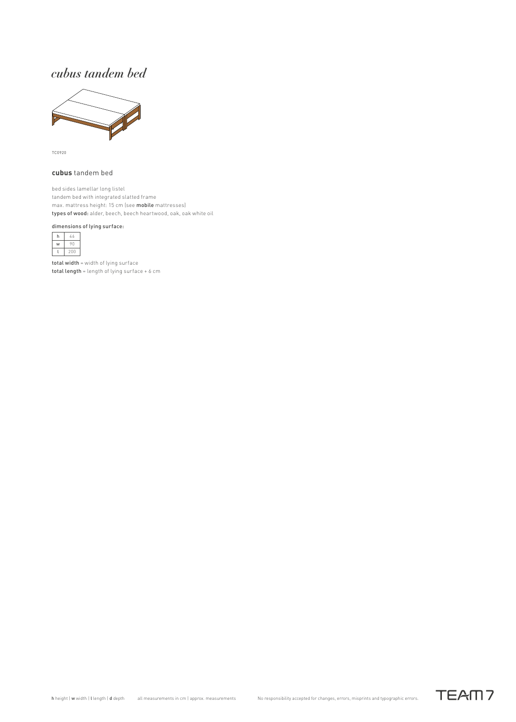## *cubus tandem bed*



TC0920

### **cubus** tandem bed

bed sides lamellar long listel tandem bed with integrated slatted frame max. mattress height: 15 cm (see mobile mattresses) types of wood: alder, beech, beech heartwood, oak, oak white oil

#### dimensions of lying surface:



total width = width of lying surface total length = length of lying surface + 6 cm